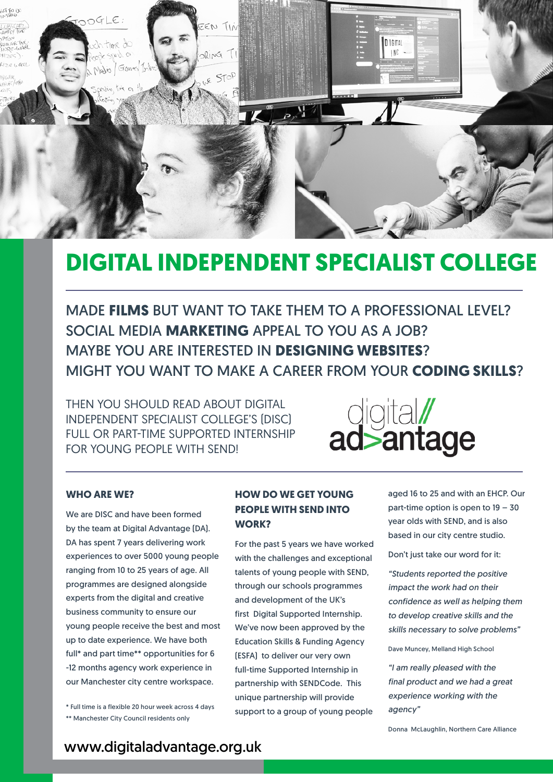

## **DIGITAL INDEPENDENT SPECIALIST COLLEGE**

MADE **FILMS** BUT WANT TO TAKE THEM TO A PROFESSIONAL LEVEL? SOCIAL MEDIA **MARKETING** APPEAL TO YOU AS A JOB? MAYBE YOU ARE INTERESTED IN **DESIGNING WEBSITES**? MIGHT YOU WANT TO MAKE A CAREER FROM YOUR **CODING SKILLS**?

THEN YOU SHOULD READ ABOUT DIGITAL INDEPENDENT SPECIALIST COLLEGE'S (DISC) FULL OR PART-TIME SUPPORTED INTERNSHIP FOR YOUNG PEOPLE WITH SEND!



#### **WHO ARE WE?**

We are DISC and have been formed by the team at Digital Advantage (DA). DA has spent 7 years delivering work experiences to over 5000 young people ranging from 10 to 25 years of age. All programmes are designed alongside experts from the digital and creative business community to ensure our young people receive the best and most up to date experience. We have both full\* and part time\*\* opportunities for 6 -12 months agency work experience in our Manchester city centre workspace.

\* Full time is a flexible 20 hour week across 4 days \*\* Manchester City Council residents only

#### **HOW DO WE GET YOUNG PEOPLE WITH SEND INTO WORK?**

For the past 5 years we have worked with the challenges and exceptional talents of young people with SEND, through our schools programmes and development of the UK's first Digital Supported Internship. We've now been approved by the Education Skills & Funding Agency (ESFA) to deliver our very own full-time Supported Internship in partnership with SENDCode. This unique partnership will provide support to a group of young people

aged 16 to 25 and with an EHCP. Our part-time option is open to 19 – 30 year olds with SEND, and is also based in our city centre studio.

Don't just take our word for it:

*"Students reported the positive impact the work had on their confidence as well as helping them to develop creative skills and the skills necessary to solve problems"*

Dave Muncey, Melland High School

*"I am really pleased with the final product and we had a great experience working with the agency"*

Donna McLaughlin, Northern Care Alliance

www.digitaladvantage.org.uk